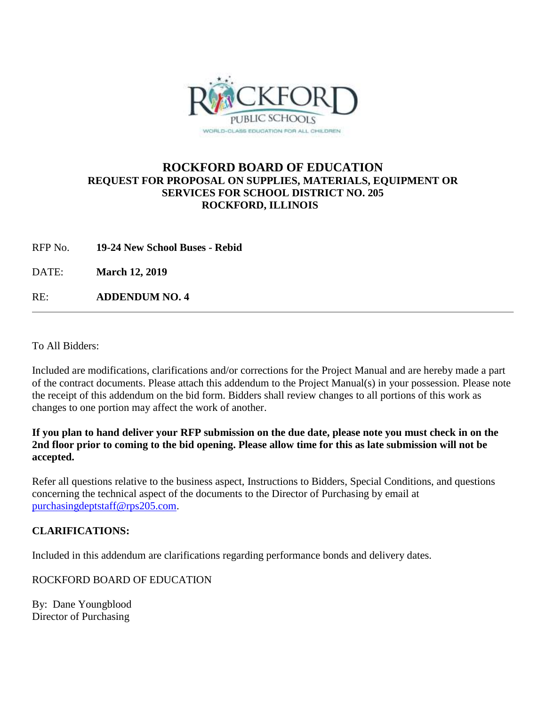

## **ROCKFORD BOARD OF EDUCATION REQUEST FOR PROPOSAL ON SUPPLIES, MATERIALS, EQUIPMENT OR SERVICES FOR SCHOOL DISTRICT NO. 205 ROCKFORD, ILLINOIS**

RFP No. **19-24 New School Buses - Rebid**

DATE: **March 12, 2019**

RE: **ADDENDUM NO. 4**

To All Bidders:

Included are modifications, clarifications and/or corrections for the Project Manual and are hereby made a part of the contract documents. Please attach this addendum to the Project Manual(s) in your possession. Please note the receipt of this addendum on the bid form. Bidders shall review changes to all portions of this work as changes to one portion may affect the work of another.

**If you plan to hand deliver your RFP submission on the due date, please note you must check in on the 2nd floor prior to coming to the bid opening. Please allow time for this as late submission will not be accepted.**

Refer all questions relative to the business aspect, Instructions to Bidders, Special Conditions, and questions concerning the technical aspect of the documents to the Director of Purchasing by email at [purchasingdeptstaff@rps205.com.](mailto:purchasingdeptstaff@rps205.com)

## **CLARIFICATIONS:**

Included in this addendum are clarifications regarding performance bonds and delivery dates.

ROCKFORD BOARD OF EDUCATION

By: Dane Youngblood Director of Purchasing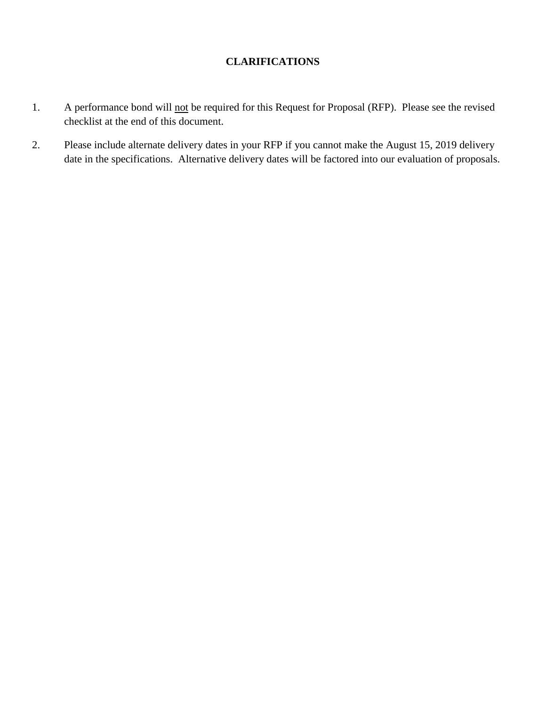## **CLARIFICATIONS**

- 1. A performance bond will not be required for this Request for Proposal (RFP). Please see the revised checklist at the end of this document.
- 2. Please include alternate delivery dates in your RFP if you cannot make the August 15, 2019 delivery date in the specifications. Alternative delivery dates will be factored into our evaluation of proposals.